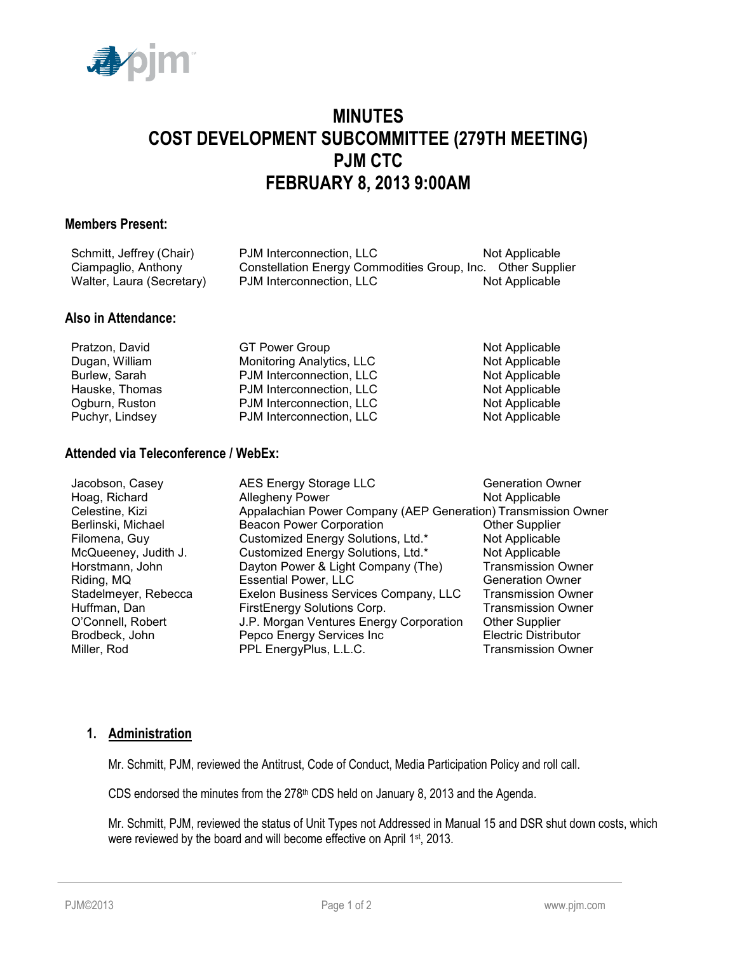

# **MINUTES COST DEVELOPMENT SUBCOMMITTEE (279TH MEETING) PJM CTC FEBRUARY 8, 2013 9:00AM**

#### **Members Present:**

| Schmitt, Jeffrey (Chair)  | PJM Interconnection, LLC                                    | Not Applicable |
|---------------------------|-------------------------------------------------------------|----------------|
| Ciampaglio, Anthony       | Constellation Energy Commodities Group, Inc. Other Supplier |                |
| Walter, Laura (Secretary) | PJM Interconnection, LLC                                    | Not Applicable |

# **Also in Attendance:**

| Pratzon, David  | <b>GT Power Group</b>     | Not Applicable |
|-----------------|---------------------------|----------------|
| Dugan, William  | Monitoring Analytics, LLC | Not Applicable |
| Burlew, Sarah   | PJM Interconnection, LLC  | Not Applicable |
| Hauske, Thomas  | PJM Interconnection, LLC  | Not Applicable |
| Ogburn, Ruston  | PJM Interconnection, LLC  | Not Applicable |
| Puchyr, Lindsey | PJM Interconnection, LLC  | Not Applicable |

# **Attended via Teleconference / WebEx:**

| Jacobson, Casey      | AES Energy Storage LLC                                        | <b>Generation Owner</b>     |  |
|----------------------|---------------------------------------------------------------|-----------------------------|--|
| Hoag, Richard        | Allegheny Power                                               | Not Applicable              |  |
| Celestine, Kizi      | Appalachian Power Company (AEP Generation) Transmission Owner |                             |  |
| Berlinski, Michael   | <b>Beacon Power Corporation</b>                               | <b>Other Supplier</b>       |  |
| Filomena, Guy        | Customized Energy Solutions, Ltd.*                            | Not Applicable              |  |
| McQueeney, Judith J. | Customized Energy Solutions, Ltd.*                            | Not Applicable              |  |
| Horstmann, John      | Dayton Power & Light Company (The)                            | <b>Transmission Owner</b>   |  |
| Riding, MQ           | <b>Essential Power, LLC</b>                                   | <b>Generation Owner</b>     |  |
| Stadelmeyer, Rebecca | Exelon Business Services Company, LLC                         | <b>Transmission Owner</b>   |  |
| Huffman, Dan         | FirstEnergy Solutions Corp.                                   | <b>Transmission Owner</b>   |  |
| O'Connell, Robert    | J.P. Morgan Ventures Energy Corporation                       | <b>Other Supplier</b>       |  |
| Brodbeck, John       | Pepco Energy Services Inc                                     | <b>Electric Distributor</b> |  |
| Miller, Rod          | PPL EnergyPlus, L.L.C.                                        | <b>Transmission Owner</b>   |  |

#### **1. Administration**

Mr. Schmitt, PJM, reviewed the Antitrust, Code of Conduct, Media Participation Policy and roll call.

CDS endorsed the minutes from the 278<sup>th</sup> CDS held on January 8, 2013 and the Agenda.

Mr. Schmitt, PJM, reviewed the status of Unit Types not Addressed in Manual 15 and DSR shut down costs, which were reviewed by the board and will become effective on April 1st, 2013.